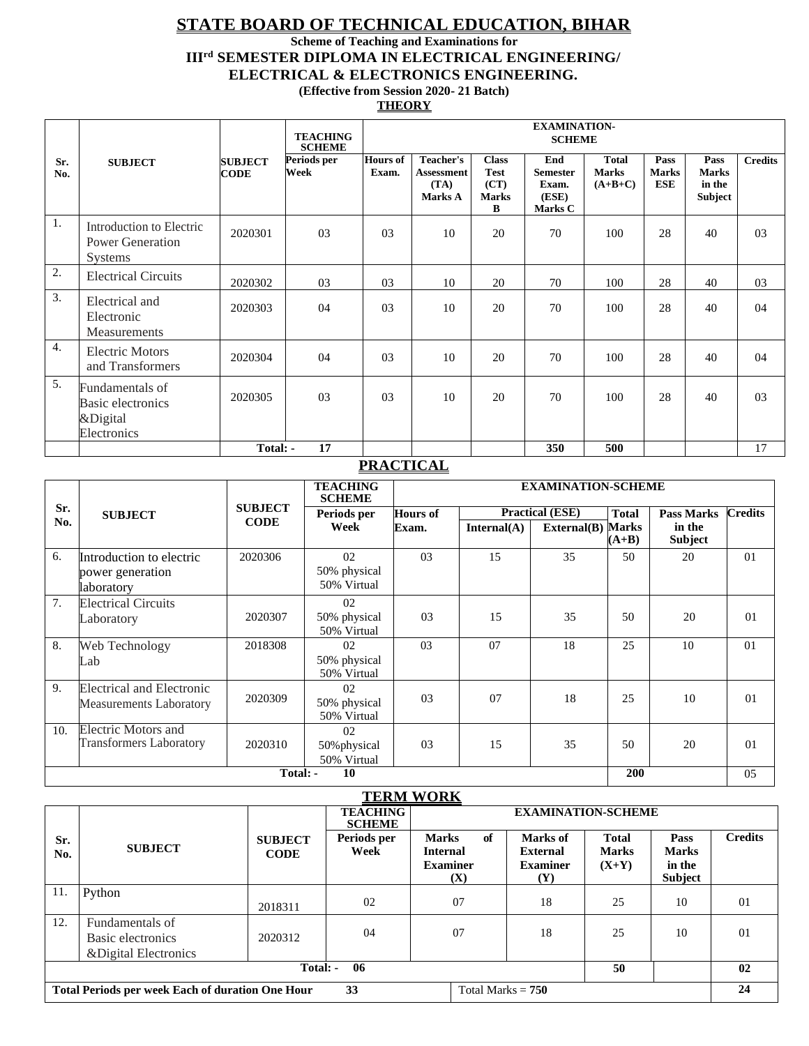## **STATE BOARD OF TECHNICAL EDUCATION, BIHAR**

**Scheme of Teaching and Examinations for**

**IIIrd SEMESTER DIPLOMA IN ELECTRICAL ENGINEERING/** 

**ELECTRICAL & ELECTRONICS ENGINEERING.**

**(Effective from Session 2020- 21 Batch)** 

**THEORY**

|                  |                                                                       |                               | <b>TEACHING</b><br><b>SCHEME</b> |                          | <b>EXAMINATION-</b><br><b>SCHEME</b>              |                                                          |                                                     |                                           |                             |                                           |                |
|------------------|-----------------------------------------------------------------------|-------------------------------|----------------------------------|--------------------------|---------------------------------------------------|----------------------------------------------------------|-----------------------------------------------------|-------------------------------------------|-----------------------------|-------------------------------------------|----------------|
| Sr.<br>No.       | <b>SUBJECT</b>                                                        | <b>SUBJECT</b><br><b>CODE</b> | Periods per<br>Week              | <b>Hours of</b><br>Exam. | Teacher's<br><b>Assessment</b><br>(TA)<br>Marks A | <b>Class</b><br><b>Test</b><br>(CT)<br><b>Marks</b><br>B | End<br><b>Semester</b><br>Exam.<br>(ESE)<br>Marks C | <b>Total</b><br><b>Marks</b><br>$(A+B+C)$ | Pass<br><b>Marks</b><br>ESE | Pass<br><b>Marks</b><br>in the<br>Subject | <b>Credits</b> |
| 1.               | Introduction to Electric<br><b>Power Generation</b><br><b>Systems</b> | 2020301                       | 03                               | 03                       | 10                                                | 20                                                       | 70                                                  | 100                                       | 28                          | 40                                        | 0 <sub>3</sub> |
| 2.               | <b>Electrical Circuits</b>                                            | 2020302                       | 03                               | 03                       | 10                                                | 20                                                       | 70                                                  | 100                                       | 28                          | 40                                        | 0 <sub>3</sub> |
| 3.               | Electrical and<br>Electronic<br>Measurements                          | 2020303                       | 04                               | 03                       | 10                                                | 20                                                       | 70                                                  | 100                                       | 28                          | 40                                        | 04             |
| $\overline{4}$ . | <b>Electric Motors</b><br>and Transformers                            | 2020304                       | 04                               | 03                       | 10                                                | 20                                                       | 70                                                  | 100                                       | 28                          | 40                                        | 04             |
| 5.               | Fundamentals of<br>Basic electronics<br>&Digital<br>Electronics       | 2020305                       | 03                               | 03                       | 10                                                | 20                                                       | 70                                                  | 100                                       | 28                          | 40                                        | 0 <sub>3</sub> |
|                  |                                                                       | Total: -                      | 17                               |                          |                                                   |                                                          | 350                                                 | 500                                       |                             |                                           | 17             |

## **PRACTICAL**

|     |                                                             |                | <b>TEACHING</b><br><b>SCHEME</b>  |                 | <b>EXAMINATION-SCHEME</b> |              |                         |                   |     |  |
|-----|-------------------------------------------------------------|----------------|-----------------------------------|-----------------|---------------------------|--------------|-------------------------|-------------------|-----|--|
| Sr. | <b>SUBJECT</b>                                              | <b>SUBJECT</b> | Periods per                       | <b>Hours of</b> | <b>Practical (ESE)</b>    | <b>Total</b> |                         | <b>Credits</b>    |     |  |
| No. |                                                             | <b>CODE</b>    | Week                              | Exam.           | Internal(A)               | External(B)  | <b>Marks</b><br>$(A+B)$ | in the<br>Subject |     |  |
| 6.  | Introduction to electric<br>power generation<br>laboratory  | 2020306        | 02<br>50% physical<br>50% Virtual | 0 <sub>3</sub>  | 15                        | 35           | 50                      | 20                | 01  |  |
| 7.  | <b>Electrical Circuits</b><br>Laboratory                    | 2020307        | 02<br>50% physical<br>50% Virtual | 0 <sub>3</sub>  | 15                        | 35           | 50                      | 20                | 01  |  |
| 8.  | Web Technology<br>Lab                                       | 2018308        | 02<br>50% physical<br>50% Virtual | 03              | 07                        | 18           | 25                      | 10                | 01  |  |
| 9.  | <b>Electrical and Electronic</b><br>Measurements Laboratory | 2020309        | 02<br>50% physical<br>50% Virtual | 0 <sub>3</sub>  | 07                        | 18           | 25                      | 10                | 01  |  |
| 10. | Electric Motors and<br><b>Transformers Laboratory</b>       | 2020310        | 02<br>50% physical<br>50% Virtual | 0 <sub>3</sub>  | 15                        | 35           | 50                      | 20                | 01  |  |
|     | 10<br>200<br>Total: -                                       |                |                                   |                 |                           |              |                         |                   | 0.5 |  |

#### **TERM WORK**

| <u>LEINIL WUNIN</u>  |                                                               |                               |                                  |                                       |                               |                              |                             |                |  |
|----------------------|---------------------------------------------------------------|-------------------------------|----------------------------------|---------------------------------------|-------------------------------|------------------------------|-----------------------------|----------------|--|
|                      |                                                               |                               | <b>TEACHING</b><br><b>SCHEME</b> | <b>EXAMINATION-SCHEME</b>             |                               |                              |                             |                |  |
| Sr.<br>No.           | <b>SUBJECT</b>                                                | <b>SUBJECT</b><br><b>CODE</b> | Periods per<br>Week              | of<br><b>Marks</b><br><b>Internal</b> | Marks of<br><b>External</b>   | <b>Total</b><br><b>Marks</b> | <b>Pass</b><br><b>Marks</b> | <b>Credits</b> |  |
|                      |                                                               |                               |                                  | <b>Examiner</b><br>(X)                | <b>Examiner</b><br><b>(Y)</b> | $(X+Y)$                      | in the<br><b>Subject</b>    |                |  |
| 11.                  | Python                                                        | 2018311                       | 02                               | 07                                    | 18                            | 25                           | 10                          | 01             |  |
| 12.                  | Fundamentals of<br>Basic electronics<br>& Digital Electronics | 2020312                       | 04                               | 07                                    | 18                            | 25                           | 10                          | 01             |  |
| 06<br>Total: -<br>50 |                                                               |                               |                                  |                                       |                               |                              |                             | 02             |  |
|                      | <b>Total Periods per week Each of duration One Hour</b>       |                               | 33                               | Total Marks $= 750$                   |                               |                              |                             | 24             |  |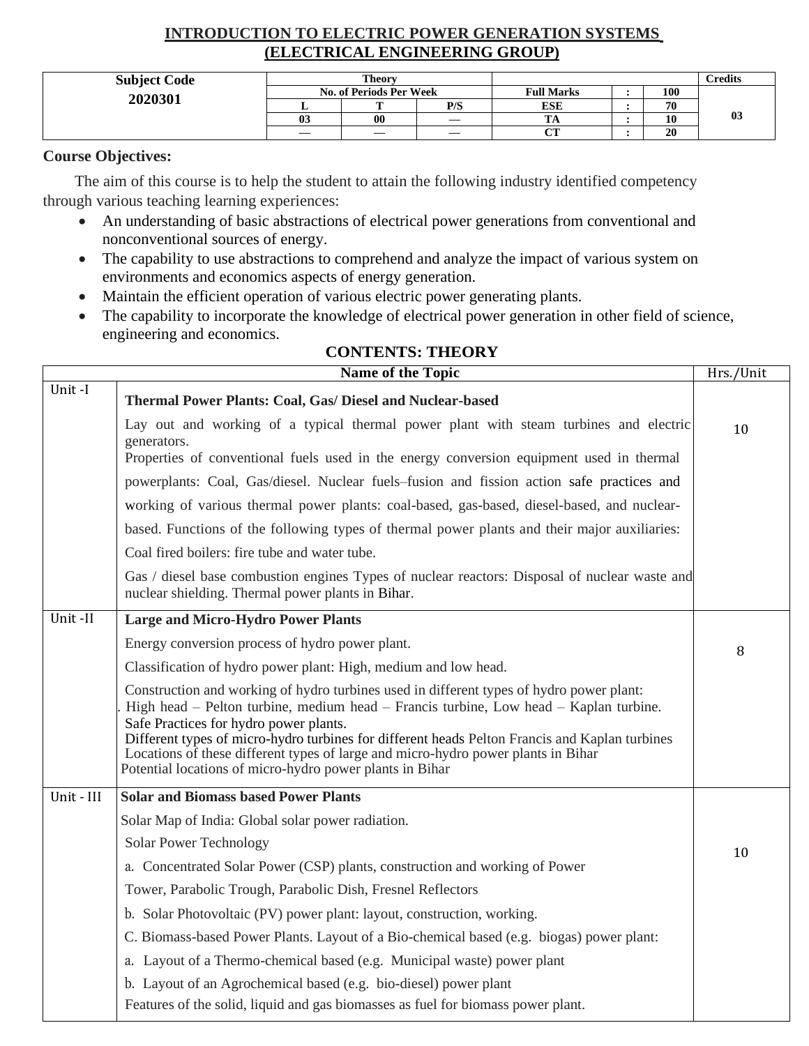## **INTRODUCTION TO ELECTRIC POWER GENERATION SYSTEMS (ELECTRICAL ENGINEERING GROUP)**

| <b>Subject Code</b> |                                | <b>Theory</b> |     |                   |     | C <b>redits</b> |
|---------------------|--------------------------------|---------------|-----|-------------------|-----|-----------------|
| 2020301             | <b>No. of Periods Per Week</b> |               |     | <b>Full Marks</b> | 100 |                 |
|                     |                                | m             | P/S | <b>ESE</b>        | 70  |                 |
|                     | 03                             | 00            |     | 1. LY             | 10  | $\mathbf{0}$ 3  |
|                     |                                | —             | —   | $\alpha$ tr       | 20  |                 |

### **Course Objectives:**

 The aim of this course is to help the student to attain the following industry identified competency through various teaching learning experiences:

- An understanding of basic abstractions of electrical power generations from conventional and nonconventional sources of energy.
- The capability to use abstractions to comprehend and analyze the impact of various system on environments and economics aspects of energy generation.
- Maintain the efficient operation of various electric power generating plants.
- The capability to incorporate the knowledge of electrical power generation in other field of science, engineering and economics.

|            | <b>Name of the Topic</b>                                                                                                                                                                                                                                                                                                                                                                                                                                                       | Hrs./Unit |
|------------|--------------------------------------------------------------------------------------------------------------------------------------------------------------------------------------------------------------------------------------------------------------------------------------------------------------------------------------------------------------------------------------------------------------------------------------------------------------------------------|-----------|
| Unit-I     | Thermal Power Plants: Coal, Gas/ Diesel and Nuclear-based                                                                                                                                                                                                                                                                                                                                                                                                                      |           |
|            | Lay out and working of a typical thermal power plant with steam turbines and electric<br>generators.<br>Properties of conventional fuels used in the energy conversion equipment used in thermal                                                                                                                                                                                                                                                                               | 10        |
|            |                                                                                                                                                                                                                                                                                                                                                                                                                                                                                |           |
|            | powerplants: Coal, Gas/diesel. Nuclear fuels–fusion and fission action safe practices and                                                                                                                                                                                                                                                                                                                                                                                      |           |
|            | working of various thermal power plants: coal-based, gas-based, diesel-based, and nuclear-                                                                                                                                                                                                                                                                                                                                                                                     |           |
|            | based. Functions of the following types of thermal power plants and their major auxiliaries:                                                                                                                                                                                                                                                                                                                                                                                   |           |
|            | Coal fired boilers: fire tube and water tube.                                                                                                                                                                                                                                                                                                                                                                                                                                  |           |
|            | Gas / diesel base combustion engines Types of nuclear reactors: Disposal of nuclear waste and<br>nuclear shielding. Thermal power plants in Bihar.                                                                                                                                                                                                                                                                                                                             |           |
| Unit-II    | <b>Large and Micro-Hydro Power Plants</b>                                                                                                                                                                                                                                                                                                                                                                                                                                      |           |
|            | Energy conversion process of hydro power plant.                                                                                                                                                                                                                                                                                                                                                                                                                                | 8         |
|            | Classification of hydro power plant: High, medium and low head.                                                                                                                                                                                                                                                                                                                                                                                                                |           |
|            | Construction and working of hydro turbines used in different types of hydro power plant:<br>High head – Pelton turbine, medium head – Francis turbine, Low head – Kaplan turbine.<br>Safe Practices for hydro power plants.<br>Different types of micro-hydro turbines for different heads Pelton Francis and Kaplan turbines<br>Locations of these different types of large and micro-hydro power plants in Bihar<br>Potential locations of micro-hydro power plants in Bihar |           |
| Unit - III | <b>Solar and Biomass based Power Plants</b>                                                                                                                                                                                                                                                                                                                                                                                                                                    |           |
|            | Solar Map of India: Global solar power radiation.                                                                                                                                                                                                                                                                                                                                                                                                                              |           |
|            | <b>Solar Power Technology</b>                                                                                                                                                                                                                                                                                                                                                                                                                                                  | 10        |
|            | a. Concentrated Solar Power (CSP) plants, construction and working of Power                                                                                                                                                                                                                                                                                                                                                                                                    |           |
|            | Tower, Parabolic Trough, Parabolic Dish, Fresnel Reflectors                                                                                                                                                                                                                                                                                                                                                                                                                    |           |
|            | b. Solar Photovoltaic (PV) power plant: layout, construction, working.                                                                                                                                                                                                                                                                                                                                                                                                         |           |
|            | C. Biomass-based Power Plants. Layout of a Bio-chemical based (e.g. biogas) power plant:                                                                                                                                                                                                                                                                                                                                                                                       |           |
|            | a. Layout of a Thermo-chemical based (e.g. Municipal waste) power plant                                                                                                                                                                                                                                                                                                                                                                                                        |           |
|            | b. Layout of an Agrochemical based (e.g. bio-diesel) power plant                                                                                                                                                                                                                                                                                                                                                                                                               |           |

Features of the solid, liquid and gas biomasses as fuel for biomass power plant.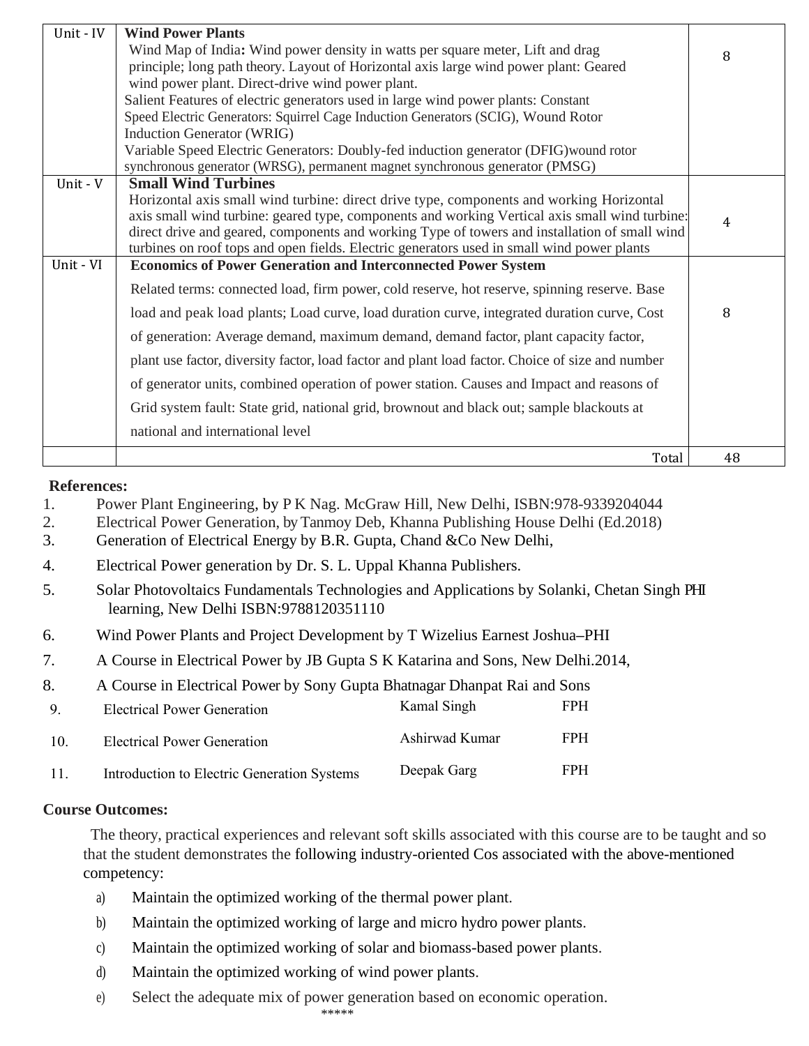| Unit - IV | <b>Wind Power Plants</b>                                                                         |    |
|-----------|--------------------------------------------------------------------------------------------------|----|
|           | Wind Map of India: Wind power density in watts per square meter, Lift and drag                   | 8  |
|           | principle; long path theory. Layout of Horizontal axis large wind power plant: Geared            |    |
|           | wind power plant. Direct-drive wind power plant.                                                 |    |
|           | Salient Features of electric generators used in large wind power plants: Constant                |    |
|           | Speed Electric Generators: Squirrel Cage Induction Generators (SCIG), Wound Rotor                |    |
|           | <b>Induction Generator (WRIG)</b>                                                                |    |
|           | Variable Speed Electric Generators: Doubly-fed induction generator (DFIG) wound rotor            |    |
|           | synchronous generator (WRSG), permanent magnet synchronous generator (PMSG)                      |    |
| Unit - V  | <b>Small Wind Turbines</b>                                                                       |    |
|           | Horizontal axis small wind turbine: direct drive type, components and working Horizontal         |    |
|           | axis small wind turbine: geared type, components and working Vertical axis small wind turbine:   | 4  |
|           | direct drive and geared, components and working Type of towers and installation of small wind    |    |
|           | turbines on roof tops and open fields. Electric generators used in small wind power plants       |    |
| Unit - VI | <b>Economics of Power Generation and Interconnected Power System</b>                             |    |
|           | Related terms: connected load, firm power, cold reserve, hot reserve, spinning reserve. Base     |    |
|           | load and peak load plants; Load curve, load duration curve, integrated duration curve, Cost      | 8  |
|           | of generation: Average demand, maximum demand, demand factor, plant capacity factor,             |    |
|           | plant use factor, diversity factor, load factor and plant load factor. Choice of size and number |    |
|           | of generator units, combined operation of power station. Causes and Impact and reasons of        |    |
|           | Grid system fault: State grid, national grid, brownout and black out; sample blackouts at        |    |
|           | national and international level                                                                 |    |
|           |                                                                                                  |    |
|           | Total                                                                                            | 48 |

1. Power Plant Engineering, by P K Nag. McGraw Hill, New Delhi, ISBN:978-9339204044

- 2. Electrical Power Generation, by Tanmoy Deb, Khanna Publishing House Delhi (Ed.2018)
- 3. Generation of Electrical Energy by B.R. Gupta, Chand &Co New Delhi,
- 4. Electrical Power generation by Dr. S. L. Uppal Khanna Publishers.
- 5. Solar Photovoltaics Fundamentals Technologies and Applications by Solanki, Chetan Singh PHI learning, New Delhi ISBN:9788120351110
- 6. Wind Power Plants and Project Development by T Wizelius Earnest Joshua**–**PHI
- 7. A Course in Electrical Power by JB Gupta S K Katarina and Sons, New Delhi.2014,
- 8. A Course in Electrical Power by Sony Gupta Bhatnagar Dhanpat Rai and Sons

| $\mathbf{Q}$ | Electrical Power Generation                 | Kamal Singh    | <b>FPH</b> |
|--------------|---------------------------------------------|----------------|------------|
| -10.         | Electrical Power Generation                 | Ashirwad Kumar | <b>FPH</b> |
| -11          | Introduction to Electric Generation Systems | Deepak Garg    | <b>FPH</b> |

### **Course Outcomes:**

The theory, practical experiences and relevant soft skills associated with this course are to be taught and so that the student demonstrates the following industry-oriented Cos associated with the above-mentioned competency:

- a) Maintain the optimized working of the thermal power plant.
- b) Maintain the optimized working of large and micro hydro power plants.
- c) Maintain the optimized working of solar and biomass-based power plants.
- d) Maintain the optimized working of wind power plants.
- e) Select the adequate mix of power generation based on economic operation.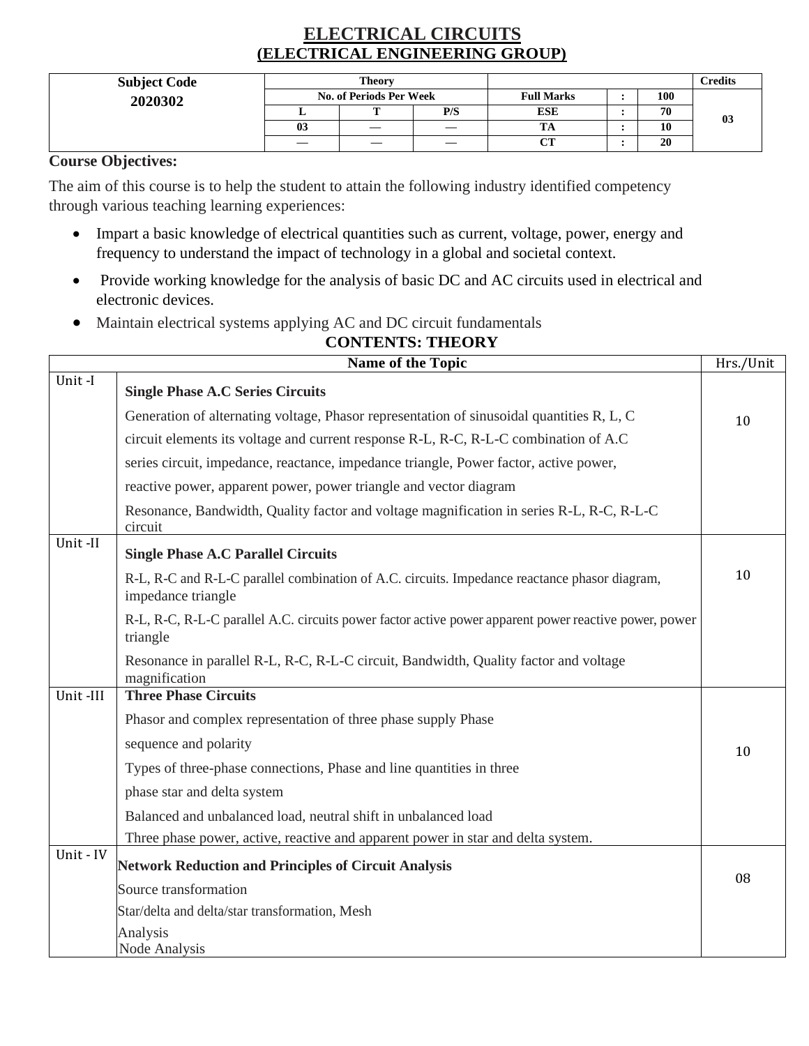## **ELECTRICAL CIRCUITS (ELECTRICAL ENGINEERING GROUP)**

| <b>Subject Code</b> | <b>Theory</b> |                         |     |                   | <b>Credits</b> |    |
|---------------------|---------------|-------------------------|-----|-------------------|----------------|----|
| 2020302             |               | No. of Periods Per Week |     | <b>Full Marks</b> | 100            |    |
|                     |               |                         | P/S | <b>ESE</b>        | 70             | 03 |
|                     | 03            | —                       |     | 1A                | 10             |    |
|                     | —             |                         | —   | CТ                | 20             |    |

## **Course Objectives:**

The aim of this course is to help the student to attain the following industry identified competency through various teaching learning experiences:

- Impart a basic knowledge of electrical quantities such as current, voltage, power, energy and frequency to understand the impact of technology in a global and societal context.
- Provide working knowledge for the analysis of basic DC and AC circuits used in electrical and electronic devices.
- Maintain electrical systems applying AC and DC circuit fundamentals

|           | <b>CONTENTS: THEORY</b>                                                                                             |           |
|-----------|---------------------------------------------------------------------------------------------------------------------|-----------|
|           | <b>Name of the Topic</b>                                                                                            | Hrs./Unit |
| Unit-I    | <b>Single Phase A.C Series Circuits</b>                                                                             |           |
|           | Generation of alternating voltage, Phasor representation of sinusoidal quantities R, L, C                           | 10        |
|           | circuit elements its voltage and current response R-L, R-C, R-L-C combination of A.C                                |           |
|           | series circuit, impedance, reactance, impedance triangle, Power factor, active power,                               |           |
|           | reactive power, apparent power, power triangle and vector diagram                                                   |           |
|           | Resonance, Bandwidth, Quality factor and voltage magnification in series R-L, R-C, R-L-C<br>circuit                 |           |
| Unit-II   | <b>Single Phase A.C Parallel Circuits</b>                                                                           |           |
|           | R-L, R-C and R-L-C parallel combination of A.C. circuits. Impedance reactance phasor diagram,<br>impedance triangle | 10        |
|           | R-L, R-C, R-L-C parallel A.C. circuits power factor active power apparent power reactive power, power<br>triangle   |           |
|           | Resonance in parallel R-L, R-C, R-L-C circuit, Bandwidth, Quality factor and voltage<br>magnification               |           |
| Unit-III  | <b>Three Phase Circuits</b>                                                                                         |           |
|           | Phasor and complex representation of three phase supply Phase                                                       |           |
|           | sequence and polarity                                                                                               | 10        |
|           | Types of three-phase connections, Phase and line quantities in three                                                |           |
|           | phase star and delta system                                                                                         |           |
|           | Balanced and unbalanced load, neutral shift in unbalanced load                                                      |           |
|           | Three phase power, active, reactive and apparent power in star and delta system.                                    |           |
| Unit - IV | <b>Network Reduction and Principles of Circuit Analysis</b>                                                         | 08        |
|           | Source transformation                                                                                               |           |
|           | Star/delta and delta/star transformation, Mesh                                                                      |           |
|           | Analysis<br>Node Analysis                                                                                           |           |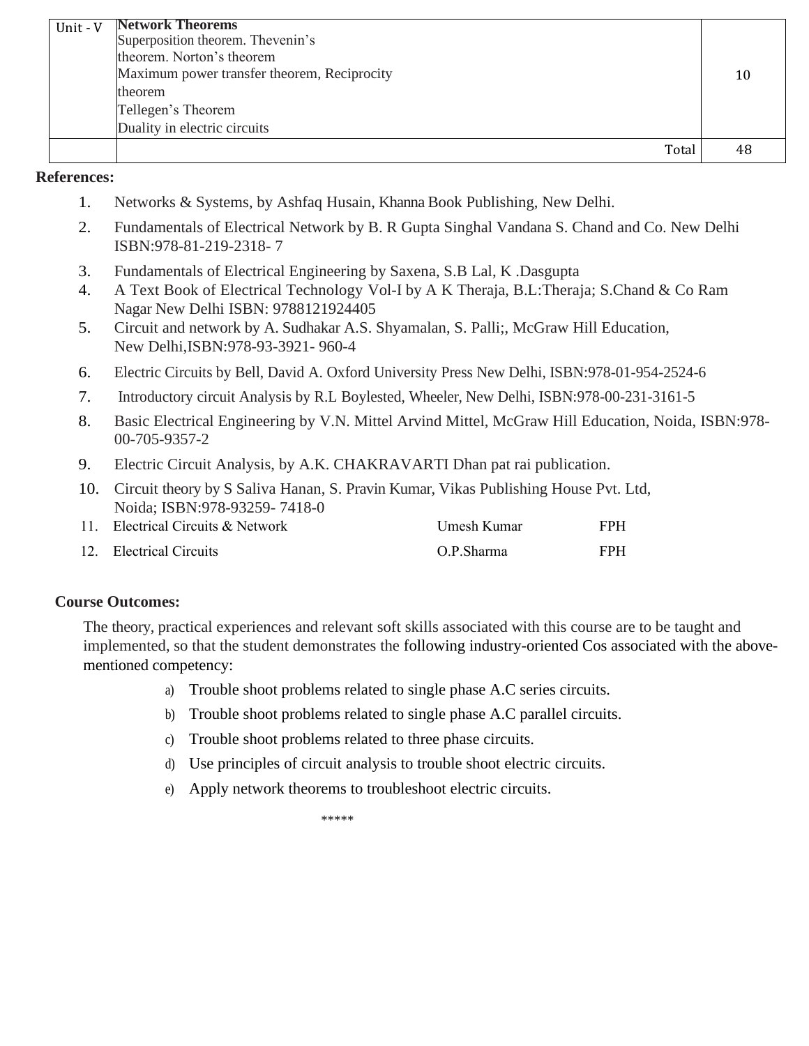| Unit - V | <b>Network Theorems</b>                     |       |    |
|----------|---------------------------------------------|-------|----|
|          | Superposition theorem. Thevenin's           |       |    |
|          | theorem. Norton's theorem                   |       |    |
|          | Maximum power transfer theorem, Reciprocity |       | 10 |
|          | theorem                                     |       |    |
|          | Tellegen's Theorem                          |       |    |
|          | Duality in electric circuits                |       |    |
|          |                                             | Total |    |

- 1. Networks & Systems, by Ashfaq Husain, Khanna Book Publishing, New Delhi.
- 2. Fundamentals of Electrical Network by B. R Gupta Singhal Vandana S. Chand and Co. New Delhi ISBN:978-81-219-2318- 7
- 3. Fundamentals of Electrical Engineering by Saxena, S.B Lal, K .Dasgupta
- 4. A Text Book of Electrical Technology Vol-I by A K Theraja, B.L:Theraja; S.Chand & Co Ram Nagar New Delhi ISBN: 9788121924405
- 5. Circuit and network by A. Sudhakar A.S. Shyamalan, S. Palli;, McGraw Hill Education, New Delhi,ISBN:978-93-3921- 960-4
- 6. Electric Circuits by Bell, David A. Oxford University Press New Delhi, ISBN:978-01-954-2524-6
- 7. Introductory circuit Analysis by R.L Boylested, Wheeler, New Delhi, ISBN:978-00-231-3161-5
- 8. Basic Electrical Engineering by V.N. Mittel Arvind Mittel, McGraw Hill Education, Noida, ISBN:978- 00-705-9357-2
- 9. Electric Circuit Analysis, by A.K. CHAKRAVARTI Dhan pat rai publication.
- 10. Circuit theory by S Saliva Hanan, S. Pravin Kumar, Vikas Publishing House Pvt. Ltd, Noida; ISBN:978-93259- 7418-0

| 11. Electrical Circuits & Network | Umesh Kumar | <b>FPH</b> |
|-----------------------------------|-------------|------------|
| 12. Electrical Circuits           | O.P.Sharma  | <b>FPH</b> |

### **Course Outcomes:**

The theory, practical experiences and relevant soft skills associated with this course are to be taught and implemented, so that the student demonstrates the following industry-oriented Cos associated with the abovementioned competency:

- a) Trouble shoot problems related to single phase A.C series circuits.
- b) Trouble shoot problems related to single phase A.C parallel circuits.
- c) Trouble shoot problems related to three phase circuits.
- d) Use principles of circuit analysis to trouble shoot electric circuits.
- e) Apply network theorems to troubleshoot electric circuits.

\*\*\*\*\*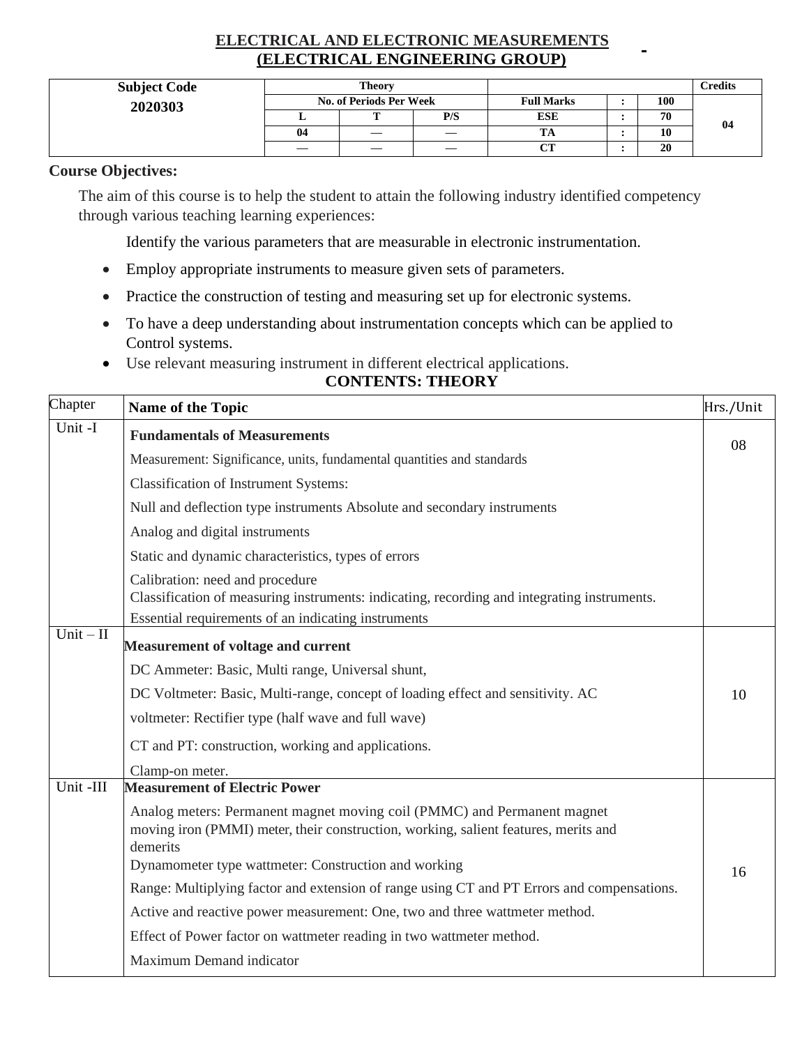## **ELECTRICAL AND ELECTRONIC MEASUREMENTS (ELECTRICAL ENGINEERING GROUP)**

| <b>Subject Code</b> |    | <b>Theory</b>           |     |                   |     | <b>Credits</b> |
|---------------------|----|-------------------------|-----|-------------------|-----|----------------|
| 2020303             |    | No. of Periods Per Week |     | <b>Full Marks</b> | 100 |                |
|                     |    |                         | P/S | <b>ESE</b>        | 70  | -04            |
|                     | 04 | $\hspace{0.05cm}$       |     | TA                | 10  |                |
|                     |    |                         |     | $\alpha$<br>ິ     | 20  |                |

### **Course Objectives:**

The aim of this course is to help the student to attain the following industry identified competency through various teaching learning experiences:

Identify the various parameters that are measurable in electronic instrumentation.

- Employ appropriate instruments to measure given sets of parameters.
- Practice the construction of testing and measuring set up for electronic systems.
- To have a deep understanding about instrumentation concepts which can be applied to Control systems.
- Use relevant measuring instrument in different electrical applications.

| Chapter                           | Name of the Topic                                                                                                                                                          | Hrs./Unit |
|-----------------------------------|----------------------------------------------------------------------------------------------------------------------------------------------------------------------------|-----------|
| Unit -I                           | <b>Fundamentals of Measurements</b>                                                                                                                                        |           |
|                                   | Measurement: Significance, units, fundamental quantities and standards                                                                                                     | 08        |
|                                   | <b>Classification of Instrument Systems:</b>                                                                                                                               |           |
|                                   | Null and deflection type instruments Absolute and secondary instruments                                                                                                    |           |
|                                   | Analog and digital instruments                                                                                                                                             |           |
|                                   | Static and dynamic characteristics, types of errors                                                                                                                        |           |
|                                   | Calibration: need and procedure                                                                                                                                            |           |
|                                   | Classification of measuring instruments: indicating, recording and integrating instruments.                                                                                |           |
| $\overline{Unit} - \overline{II}$ | Essential requirements of an indicating instruments                                                                                                                        |           |
|                                   | <b>Measurement of voltage and current</b>                                                                                                                                  |           |
|                                   | DC Ammeter: Basic, Multi range, Universal shunt,                                                                                                                           |           |
|                                   | DC Voltmeter: Basic, Multi-range, concept of loading effect and sensitivity. AC                                                                                            | 10        |
|                                   | voltmeter: Rectifier type (half wave and full wave)                                                                                                                        |           |
|                                   | CT and PT: construction, working and applications.                                                                                                                         |           |
|                                   | Clamp-on meter.                                                                                                                                                            |           |
| Unit -III                         | <b>Measurement of Electric Power</b>                                                                                                                                       |           |
|                                   | Analog meters: Permanent magnet moving coil (PMMC) and Permanent magnet<br>moving iron (PMMI) meter, their construction, working, salient features, merits and<br>demerits |           |
|                                   | Dynamometer type wattmeter: Construction and working                                                                                                                       | 16        |
|                                   | Range: Multiplying factor and extension of range using CT and PT Errors and compensations.                                                                                 |           |
|                                   | Active and reactive power measurement: One, two and three wattmeter method.                                                                                                |           |
|                                   | Effect of Power factor on wattmeter reading in two wattmeter method.                                                                                                       |           |
|                                   | Maximum Demand indicator                                                                                                                                                   |           |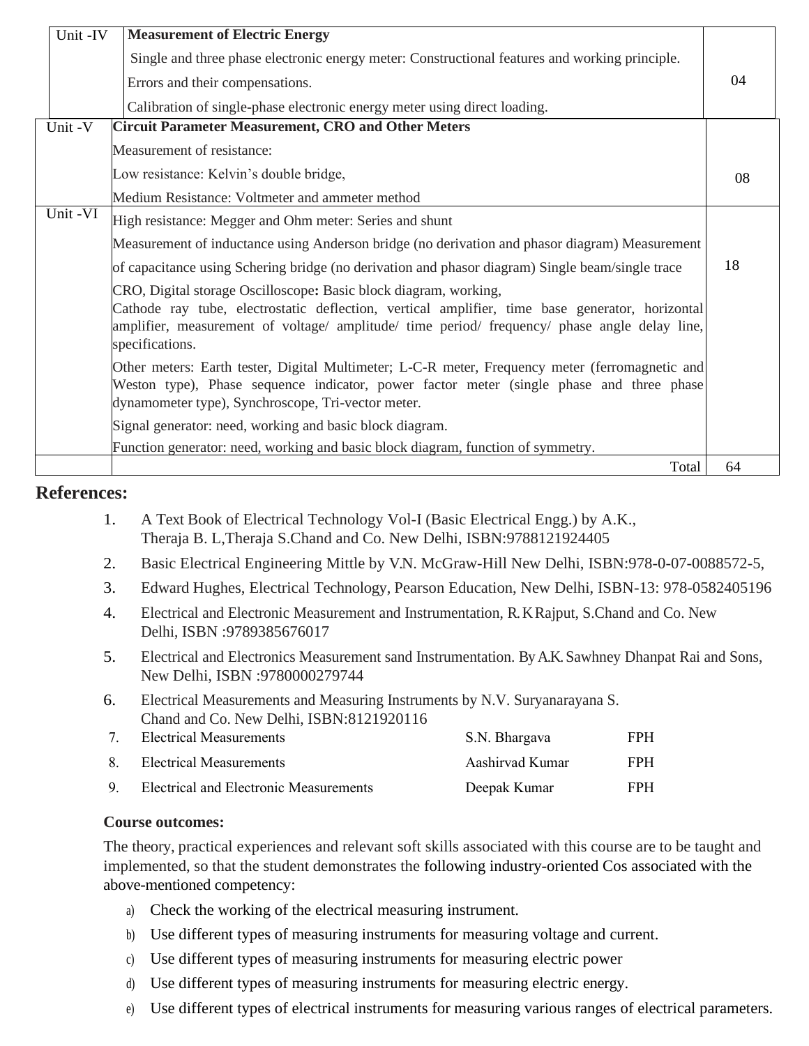| Unit -IV | <b>Measurement of Electric Energy</b>                                                                                                                                                                                                                                                   |    |
|----------|-----------------------------------------------------------------------------------------------------------------------------------------------------------------------------------------------------------------------------------------------------------------------------------------|----|
|          | Single and three phase electronic energy meter: Constructional features and working principle.                                                                                                                                                                                          |    |
|          | Errors and their compensations.                                                                                                                                                                                                                                                         | 04 |
|          | Calibration of single-phase electronic energy meter using direct loading.                                                                                                                                                                                                               |    |
| Unit-V   | <b>Circuit Parameter Measurement, CRO and Other Meters</b>                                                                                                                                                                                                                              |    |
|          | Measurement of resistance:                                                                                                                                                                                                                                                              |    |
|          | Low resistance: Kelvin's double bridge,                                                                                                                                                                                                                                                 | 08 |
|          | Medium Resistance: Voltmeter and ammeter method                                                                                                                                                                                                                                         |    |
| Unit -VI | High resistance: Megger and Ohm meter: Series and shunt                                                                                                                                                                                                                                 |    |
|          | Measurement of inductance using Anderson bridge (no derivation and phasor diagram) Measurement                                                                                                                                                                                          |    |
|          | of capacitance using Schering bridge (no derivation and phasor diagram) Single beam/single trace                                                                                                                                                                                        | 18 |
|          | CRO, Digital storage Oscilloscope: Basic block diagram, working,<br>Cathode ray tube, electrostatic deflection, vertical amplifier, time base generator, horizontal<br>amplifier, measurement of voltage/ amplitude/ time period/ frequency/ phase angle delay line,<br>specifications. |    |
|          | Other meters: Earth tester, Digital Multimeter; L-C-R meter, Frequency meter (ferromagnetic and<br>Weston type), Phase sequence indicator, power factor meter (single phase and three phase<br>dynamometer type), Synchroscope, Tri-vector meter.                                       |    |
|          | Signal generator: need, working and basic block diagram.                                                                                                                                                                                                                                |    |
|          | Function generator: need, working and basic block diagram, function of symmetry.                                                                                                                                                                                                        | 64 |
|          | Total                                                                                                                                                                                                                                                                                   |    |

- 1. A Text Book of Electrical Technology Vol-I (Basic Electrical Engg.) by A.K., Theraja B. L,Theraja S.Chand and Co. New Delhi, ISBN:9788121924405
- 2. Basic Electrical Engineering Mittle by V.N. McGraw-Hill New Delhi, ISBN:978-0-07-0088572-5,
- 3. Edward Hughes, Electrical Technology, Pearson Education, New Delhi, ISBN-13: 978-0582405196
- 4. Electrical and Electronic Measurement and Instrumentation, R. KRajput, S.Chand and Co. New Delhi, ISBN :9789385676017
- 5. Electrical and Electronics Measurement sand Instrumentation. By A.K.Sawhney Dhanpat Rai and Sons, New Delhi, ISBN :9780000279744
- 6. Electrical Measurements and Measuring Instruments by N.V. Suryanarayana S. Chand and Co. New Delhi, ISBN:8121920116

| 7 <sub>1</sub> | Electrical Measurements                | S.N. Bhargava   | FPH. |
|----------------|----------------------------------------|-----------------|------|
|                | 8. Electrical Measurements             | Aashirvad Kumar | FPH. |
| Q              | Electrical and Electronic Measurements | Deepak Kumar    | FPH. |

### **Course outcomes:**

The theory, practical experiences and relevant soft skills associated with this course are to be taught and implemented, so that the student demonstrates the following industry-oriented Cos associated with the above-mentioned competency:

- a) Check the working of the electrical measuring instrument.
- b) Use different types of measuring instruments for measuring voltage and current.
- c) Use different types of measuring instruments for measuring electric power
- d) Use different types of measuring instruments for measuring electric energy.
- e) Use different types of electrical instruments for measuring various ranges of electrical parameters.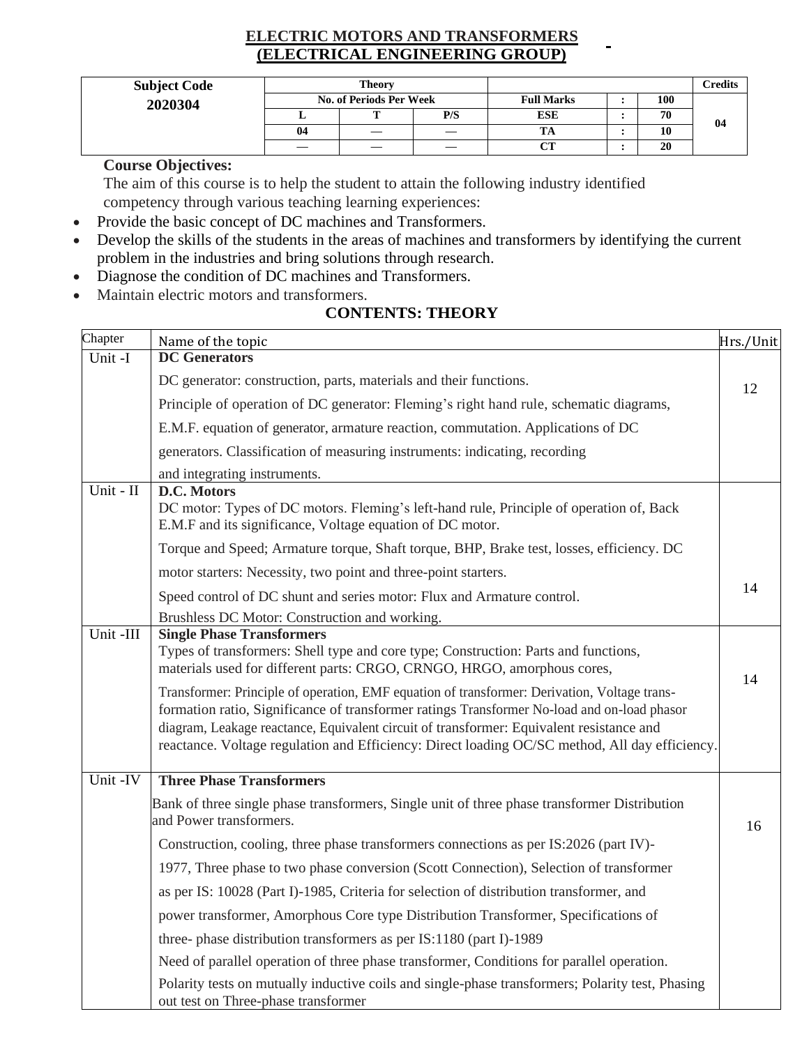## **ELECTRIC MOTORS AND TRANSFORMERS (ELECTRICAL ENGINEERING GROUP)**

| <b>Subject Code</b> | <b>Theory</b>           |           |     |                   |  |     | Credits |
|---------------------|-------------------------|-----------|-----|-------------------|--|-----|---------|
| 2020304             | No. of Periods Per Week |           |     | <b>Full Marks</b> |  | 100 |         |
|                     |                         | <b>TT</b> | P/S | ESE               |  | 70  | 04      |
|                     | 04                      |           |     | TA                |  | 10  |         |
|                     |                         |           |     | $\alpha$ tt<br>U  |  | 20  |         |

**Course Objectives:**

The aim of this course is to help the student to attain the following industry identified competency through various teaching learning experiences:

- Provide the basic concept of DC machines and Transformers.
- Develop the skills of the students in the areas of machines and transformers by identifying the current problem in the industries and bring solutions through research.
- Diagnose the condition of DC machines and Transformers.
- Maintain electric motors and transformers.

| Chapter   | Name of the topic                                                                                                                                              | Hrs./Unit |
|-----------|----------------------------------------------------------------------------------------------------------------------------------------------------------------|-----------|
| Unit -I   | <b>DC</b> Generators                                                                                                                                           |           |
|           | DC generator: construction, parts, materials and their functions.                                                                                              | 12        |
|           | Principle of operation of DC generator: Fleming's right hand rule, schematic diagrams,                                                                         |           |
|           | E.M.F. equation of generator, armature reaction, commutation. Applications of DC                                                                               |           |
|           | generators. Classification of measuring instruments: indicating, recording                                                                                     |           |
|           | and integrating instruments.                                                                                                                                   |           |
| Unit - II | D.C. Motors                                                                                                                                                    |           |
|           | DC motor: Types of DC motors. Fleming's left-hand rule, Principle of operation of, Back<br>E.M.F and its significance, Voltage equation of DC motor.           |           |
|           | Torque and Speed; Armature torque, Shaft torque, BHP, Brake test, losses, efficiency. DC                                                                       |           |
|           | motor starters: Necessity, two point and three-point starters.                                                                                                 |           |
|           | Speed control of DC shunt and series motor: Flux and Armature control.                                                                                         | 14        |
|           | Brushless DC Motor: Construction and working.                                                                                                                  |           |
| Unit-III  | <b>Single Phase Transformers</b>                                                                                                                               |           |
|           | Types of transformers: Shell type and core type; Construction: Parts and functions,<br>materials used for different parts: CRGO, CRNGO, HRGO, amorphous cores, | 14        |
|           | Transformer: Principle of operation, EMF equation of transformer: Derivation, Voltage trans-                                                                   |           |
|           | formation ratio, Significance of transformer ratings Transformer No-load and on-load phasor                                                                    |           |
|           | diagram, Leakage reactance, Equivalent circuit of transformer: Equivalent resistance and                                                                       |           |
|           | reactance. Voltage regulation and Efficiency: Direct loading OC/SC method, All day efficiency.                                                                 |           |
| Unit -IV  | <b>Three Phase Transformers</b>                                                                                                                                |           |
|           | Bank of three single phase transformers, Single unit of three phase transformer Distribution<br>and Power transformers.                                        | 16        |
|           | Construction, cooling, three phase transformers connections as per IS:2026 (part IV)-                                                                          |           |
|           | 1977, Three phase to two phase conversion (Scott Connection), Selection of transformer                                                                         |           |
|           | as per IS: 10028 (Part I)-1985, Criteria for selection of distribution transformer, and                                                                        |           |
|           | power transformer, Amorphous Core type Distribution Transformer, Specifications of                                                                             |           |
|           | three- phase distribution transformers as per IS:1180 (part I)-1989                                                                                            |           |
|           | Need of parallel operation of three phase transformer, Conditions for parallel operation.                                                                      |           |
|           | Polarity tests on mutually inductive coils and single-phase transformers; Polarity test, Phasing<br>out test on Three-phase transformer                        |           |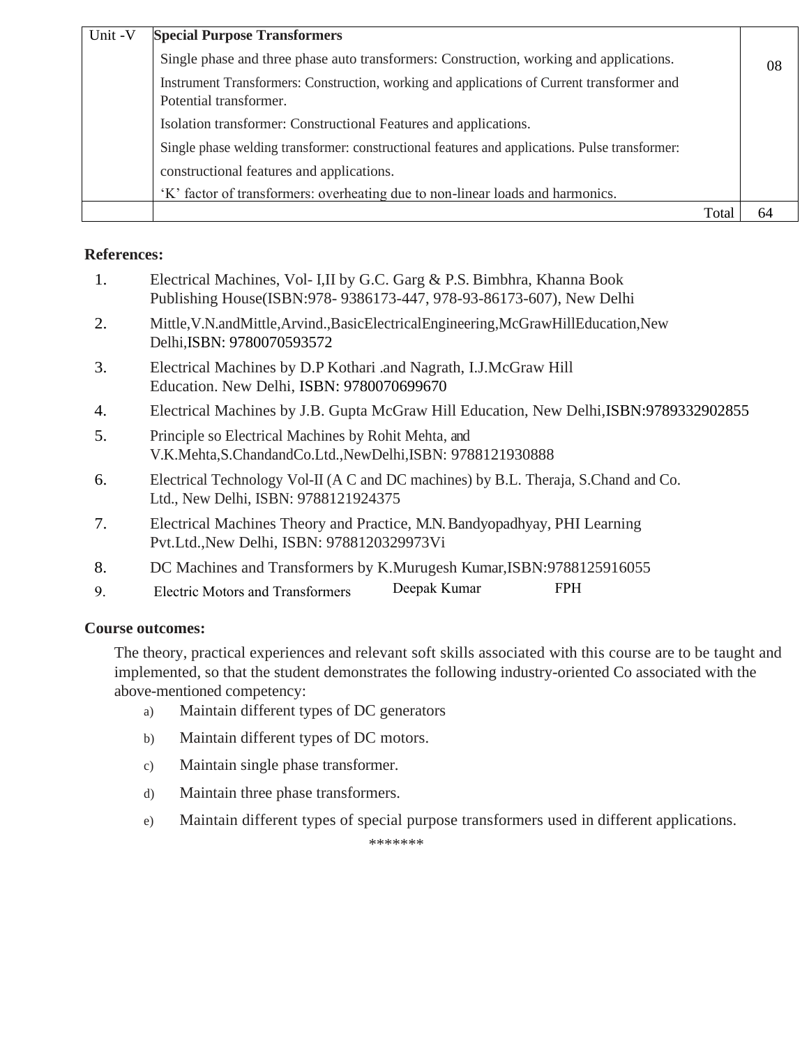| Unit -V | <b>Special Purpose Transformers</b>                                                                                  |              |     |
|---------|----------------------------------------------------------------------------------------------------------------------|--------------|-----|
|         | Single phase and three phase auto transformers: Construction, working and applications.                              |              | -08 |
|         | Instrument Transformers: Construction, working and applications of Current transformer and<br>Potential transformer. |              |     |
|         | Isolation transformer: Constructional Features and applications.                                                     |              |     |
|         | Single phase welding transformer: constructional features and applications. Pulse transformer:                       |              |     |
|         | constructional features and applications.                                                                            |              |     |
|         | 'K' factor of transformers: overheating due to non-linear loads and harmonics.                                       |              |     |
|         |                                                                                                                      | Tot <i>a</i> |     |

| Electrical Machines, Vol- I, II by G.C. Garg & P.S. Bimbhra, Khanna Book |
|--------------------------------------------------------------------------|
| Publishing House(ISBN: 978-9386173-447, 978-93-86173-607), New Delhi     |

- 2. Mittle,V.N.andMittle,Arvind.,BasicElectricalEngineering,McGrawHillEducation,New Delhi,ISBN: 9780070593572
- 3. Electrical Machines by D.P Kothari .and Nagrath, I.J.McGraw Hill Education. New Delhi, ISBN: 9780070699670
- 4. Electrical Machines by J.B. Gupta McGraw Hill Education, New Delhi,ISBN:9789332902855
- 5. Principle so Electrical Machines by Rohit Mehta, and V.K.Mehta,S.ChandandCo.Ltd.,NewDelhi,ISBN: 9788121930888
- 6. Electrical Technology Vol-II (A C and DC machines) by B.L. Theraja, S.Chand and Co. Ltd., New Delhi, ISBN: 9788121924375
- 7. Electrical Machines Theory and Practice, M.N. Bandyopadhyay, PHI Learning Pvt.Ltd.,New Delhi, ISBN: 9788120329973Vi
- 8. DC Machines and Transformers by K.Murugesh Kumar,ISBN:9788125916055
- 9. Electric Motors and Transformers Deepak Kumar FPH

## **Course outcomes:**

The theory, practical experiences and relevant soft skills associated with this course are to be taught and implemented, so that the student demonstrates the following industry-oriented Co associated with the above-mentioned competency:

- a) Maintain different types of DC generators
- b) Maintain different types of DC motors.
- c) Maintain single phase transformer.
- d) Maintain three phase transformers.
- e) Maintain different types of special purpose transformers used in different applications.

\*\*\*\*\*\*\*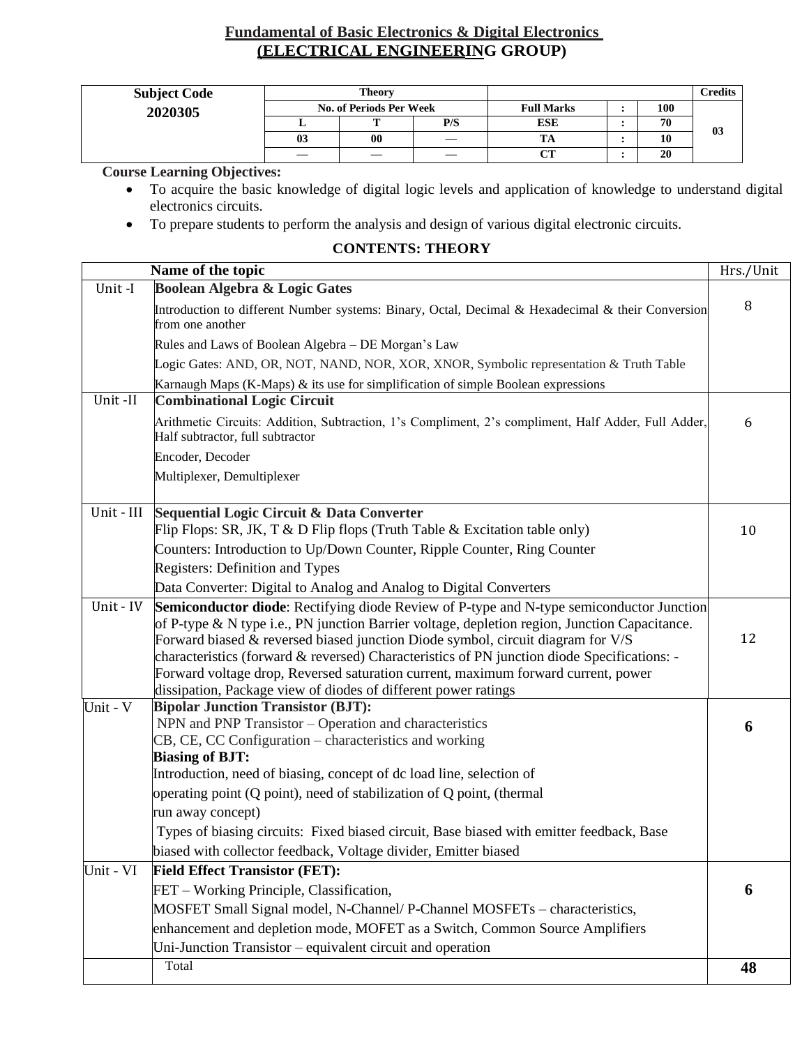## **Fundamental of Basic Electronics & Digital Electronics (ELECTRICAL ENGINEERING GROUP)**

| <b>Subject Code</b> | <b>Theory</b>  |                                |     |                   |  |     | <b>Predits</b> |
|---------------------|----------------|--------------------------------|-----|-------------------|--|-----|----------------|
| 2020305             |                | <b>No. of Periods Per Week</b> |     | <b>Full Marks</b> |  | 100 |                |
|                     |                |                                | P/S | <b>ESE</b>        |  | 70  | 03             |
|                     | 0 <sup>3</sup> | 00                             |     | m                 |  | 10  |                |
|                     |                |                                |     | $\alpha$          |  | 20  |                |

**Course Learning Objectives:**

- To acquire the basic knowledge of digital logic levels and application of knowledge to understand digital electronics circuits.
- To prepare students to perform the analysis and design of various digital electronic circuits.

|            | Name of the topic                                                                                                                                                                                                                                                                                                                                                                                                                                                                                                                  | Hrs./Unit |
|------------|------------------------------------------------------------------------------------------------------------------------------------------------------------------------------------------------------------------------------------------------------------------------------------------------------------------------------------------------------------------------------------------------------------------------------------------------------------------------------------------------------------------------------------|-----------|
| Unit-I     | Boolean Algebra & Logic Gates                                                                                                                                                                                                                                                                                                                                                                                                                                                                                                      |           |
|            | Introduction to different Number systems: Binary, Octal, Decimal & Hexadecimal & their Conversion<br>from one another                                                                                                                                                                                                                                                                                                                                                                                                              | 8         |
|            | Rules and Laws of Boolean Algebra - DE Morgan's Law                                                                                                                                                                                                                                                                                                                                                                                                                                                                                |           |
|            | Logic Gates: AND, OR, NOT, NAND, NOR, XOR, XNOR, Symbolic representation & Truth Table                                                                                                                                                                                                                                                                                                                                                                                                                                             |           |
|            | Karnaugh Maps (K-Maps) & its use for simplification of simple Boolean expressions                                                                                                                                                                                                                                                                                                                                                                                                                                                  |           |
| Unit-II    | <b>Combinational Logic Circuit</b>                                                                                                                                                                                                                                                                                                                                                                                                                                                                                                 |           |
|            | Arithmetic Circuits: Addition, Subtraction, 1's Compliment, 2's compliment, Half Adder, Full Adder,<br>Half subtractor, full subtractor                                                                                                                                                                                                                                                                                                                                                                                            | 6         |
|            | Encoder, Decoder                                                                                                                                                                                                                                                                                                                                                                                                                                                                                                                   |           |
|            | Multiplexer, Demultiplexer                                                                                                                                                                                                                                                                                                                                                                                                                                                                                                         |           |
|            |                                                                                                                                                                                                                                                                                                                                                                                                                                                                                                                                    |           |
| Unit - III | Sequential Logic Circuit & Data Converter                                                                                                                                                                                                                                                                                                                                                                                                                                                                                          |           |
|            | Flip Flops: SR, JK, T & D Flip flops (Truth Table & Excitation table only)                                                                                                                                                                                                                                                                                                                                                                                                                                                         | 10        |
|            | Counters: Introduction to Up/Down Counter, Ripple Counter, Ring Counter                                                                                                                                                                                                                                                                                                                                                                                                                                                            |           |
|            | Registers: Definition and Types                                                                                                                                                                                                                                                                                                                                                                                                                                                                                                    |           |
|            | Data Converter: Digital to Analog and Analog to Digital Converters                                                                                                                                                                                                                                                                                                                                                                                                                                                                 |           |
| Unit - IV  | Semiconductor diode: Rectifying diode Review of P-type and N-type semiconductor Junction<br>of P-type & N type i.e., PN junction Barrier voltage, depletion region, Junction Capacitance.<br>Forward biased & reversed biased junction Diode symbol, circuit diagram for V/S<br>characteristics (forward & reversed) Characteristics of PN junction diode Specifications: -<br>Forward voltage drop, Reversed saturation current, maximum forward current, power<br>dissipation, Package view of diodes of different power ratings | 12        |
| Unit - V   | <b>Bipolar Junction Transistor (BJT):</b>                                                                                                                                                                                                                                                                                                                                                                                                                                                                                          |           |
|            | NPN and PNP Transistor – Operation and characteristics                                                                                                                                                                                                                                                                                                                                                                                                                                                                             | 6         |
|            | CB, CE, CC Configuration – characteristics and working<br><b>Biasing of BJT:</b>                                                                                                                                                                                                                                                                                                                                                                                                                                                   |           |
|            | Introduction, need of biasing, concept of dc load line, selection of                                                                                                                                                                                                                                                                                                                                                                                                                                                               |           |
|            | operating point (Q point), need of stabilization of Q point, (thermal                                                                                                                                                                                                                                                                                                                                                                                                                                                              |           |
|            | run away concept)                                                                                                                                                                                                                                                                                                                                                                                                                                                                                                                  |           |
|            | Types of biasing circuits: Fixed biased circuit, Base biased with emitter feedback, Base                                                                                                                                                                                                                                                                                                                                                                                                                                           |           |
|            | biased with collector feedback, Voltage divider, Emitter biased                                                                                                                                                                                                                                                                                                                                                                                                                                                                    |           |
| Unit - VI  | <b>Field Effect Transistor (FET):</b>                                                                                                                                                                                                                                                                                                                                                                                                                                                                                              |           |
|            | FET – Working Principle, Classification,                                                                                                                                                                                                                                                                                                                                                                                                                                                                                           | 6         |
|            | MOSFET Small Signal model, N-Channel/P-Channel MOSFETs - characteristics,                                                                                                                                                                                                                                                                                                                                                                                                                                                          |           |
|            | enhancement and depletion mode, MOFET as a Switch, Common Source Amplifiers                                                                                                                                                                                                                                                                                                                                                                                                                                                        |           |
|            | Uni-Junction Transistor - equivalent circuit and operation                                                                                                                                                                                                                                                                                                                                                                                                                                                                         |           |
|            | Total                                                                                                                                                                                                                                                                                                                                                                                                                                                                                                                              | 48        |
|            |                                                                                                                                                                                                                                                                                                                                                                                                                                                                                                                                    |           |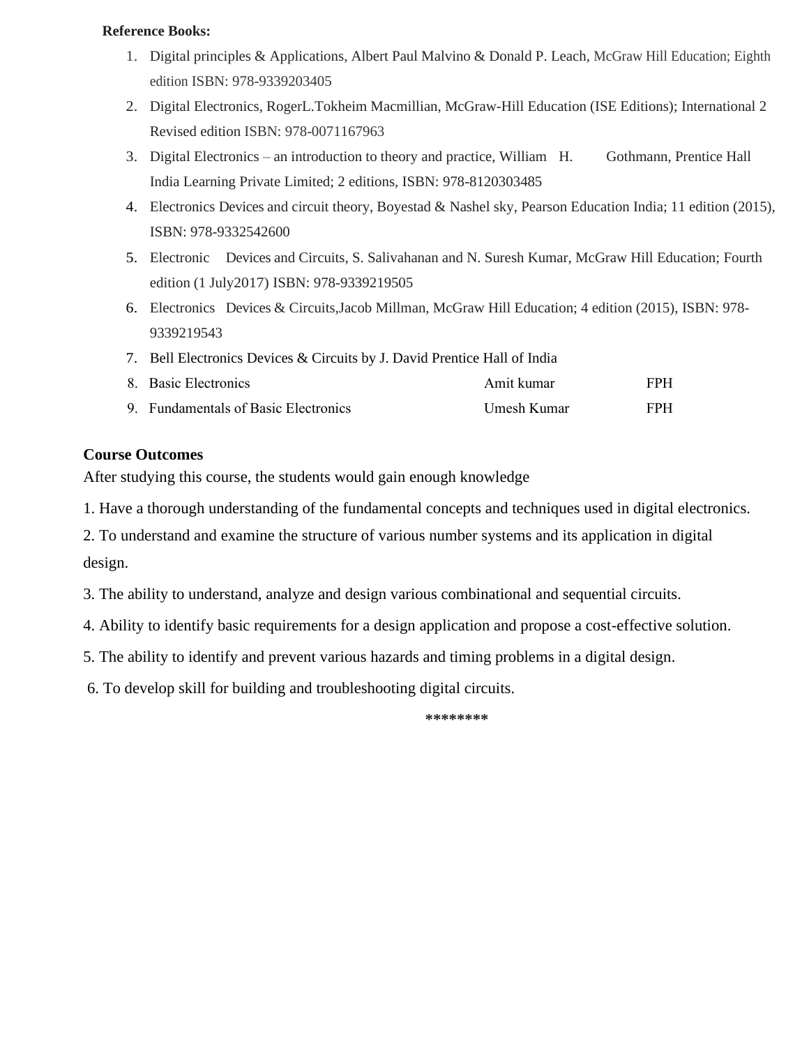#### **Reference Books:**

- 1. Digital principles & Applications, Albert Paul Malvino & Donald P. Leach, McGraw Hill Education; Eighth edition ISBN: 978-9339203405
- 2. Digital Electronics, RogerL.Tokheim Macmillian, McGraw-Hill Education (ISE Editions); International 2 Revised edition ISBN: 978-0071167963
- 3. Digital Electronics an introduction to theory and practice, William H. Gothmann, Prentice Hall India Learning Private Limited; 2 editions, ISBN: 978-8120303485
- 4. Electronics Devices and circuit theory, Boyestad & Nashel sky, Pearson Education India; 11 edition (2015), ISBN: 978-9332542600
- 5. Electronic Devices and Circuits, S. Salivahanan and N. Suresh Kumar, McGraw Hill Education; Fourth edition (1 July2017) ISBN: 978-9339219505
- 6. Electronics Devices & Circuits,Jacob Millman, McGraw Hill Education; 4 edition (2015), ISBN: 978- 9339219543
- 7. Bell Electronics Devices & Circuits by J. David Prentice Hall of India
- 8. Basic Electronics **Amit kumar** FPH 9. Fundamentals of Basic Electronics **Same Example 3 Umesh Kumar** FPH

### **Course Outcomes**

After studying this course, the students would gain enough knowledge

1. Have a thorough understanding of the fundamental concepts and techniques used in digital electronics.

2. To understand and examine the structure of various number systems and its application in digital design.

- 3. The ability to understand, analyze and design various combinational and sequential circuits.
- 4. Ability to identify basic requirements for a design application and propose a cost-effective solution.
- 5. The ability to identify and prevent various hazards and timing problems in a digital design.
- 6. To develop skill for building and troubleshooting digital circuits.

**\*\*\*\*\*\*\*\***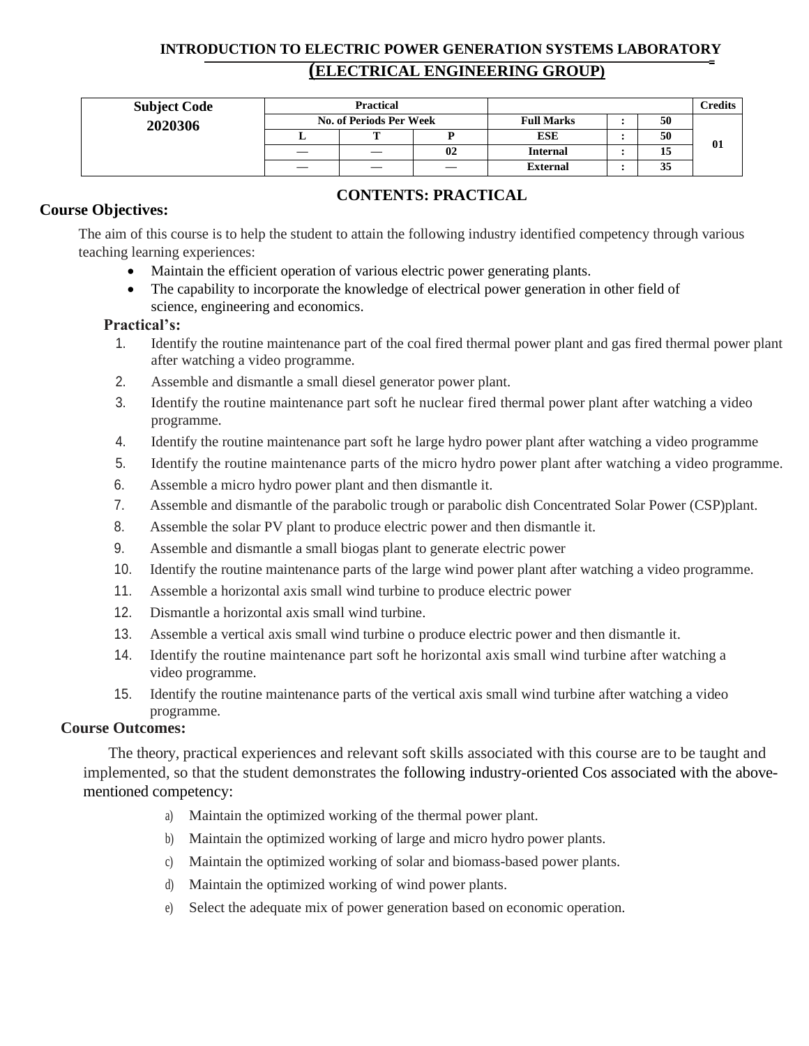## **INTRODUCTION TO ELECTRIC POWER GENERATION SYSTEMS LABORATORY (ELECTRICAL ENGINEERING GROUP)**

| <b>Subject Code</b> |   | Practical                      |    |                   |  |    | Credits |
|---------------------|---|--------------------------------|----|-------------------|--|----|---------|
| 2020306             |   | <b>No. of Periods Per Week</b> |    | <b>Full Marks</b> |  | 50 |         |
|                     |   | m                              |    | <b>ESE</b>        |  | 50 |         |
|                     | — |                                | 02 | <b>Internal</b>   |  | 15 | 01      |
|                     |   |                                |    | <b>External</b>   |  | 35 |         |

### **Course Objectives:**

## **CONTENTS: PRACTICAL**

The aim of this course is to help the student to attain the following industry identified competency through various teaching learning experiences:

- Maintain the efficient operation of various electric power generating plants.
- The capability to incorporate the knowledge of electrical power generation in other field of science, engineering and economics.

### **Practical's:**

- 1. Identify the routine maintenance part of the coal fired thermal power plant and gas fired thermal power plant after watching a video programme.
- 2. Assemble and dismantle a small diesel generator power plant.
- 3. Identify the routine maintenance part soft he nuclear fired thermal power plant after watching a video programme.
- 4. Identify the routine maintenance part soft he large hydro power plant after watching a video programme
- 5. Identify the routine maintenance parts of the micro hydro power plant after watching a video programme.
- 6. Assemble a micro hydro power plant and then dismantle it.
- 7. Assemble and dismantle of the parabolic trough or parabolic dish Concentrated Solar Power (CSP)plant.
- 8. Assemble the solar PV plant to produce electric power and then dismantle it.
- 9. Assemble and dismantle a small biogas plant to generate electric power
- 10. Identify the routine maintenance parts of the large wind power plant after watching a video programme.
- 11. Assemble a horizontal axis small wind turbine to produce electric power
- 12. Dismantle a horizontal axis small wind turbine.
- 13. Assemble a vertical axis small wind turbine o produce electric power and then dismantle it.
- 14. Identify the routine maintenance part soft he horizontal axis small wind turbine after watching a video programme.
- 15. Identify the routine maintenance parts of the vertical axis small wind turbine after watching a video programme.

### **Course Outcomes:**

The theory, practical experiences and relevant soft skills associated with this course are to be taught and implemented, so that the student demonstrates the following industry-oriented Cos associated with the abovementioned competency:

- a) Maintain the optimized working of the thermal power plant.
- b) Maintain the optimized working of large and micro hydro power plants.
- c) Maintain the optimized working of solar and biomass-based power plants.
- d) Maintain the optimized working of wind power plants.
- e) Select the adequate mix of power generation based on economic operation.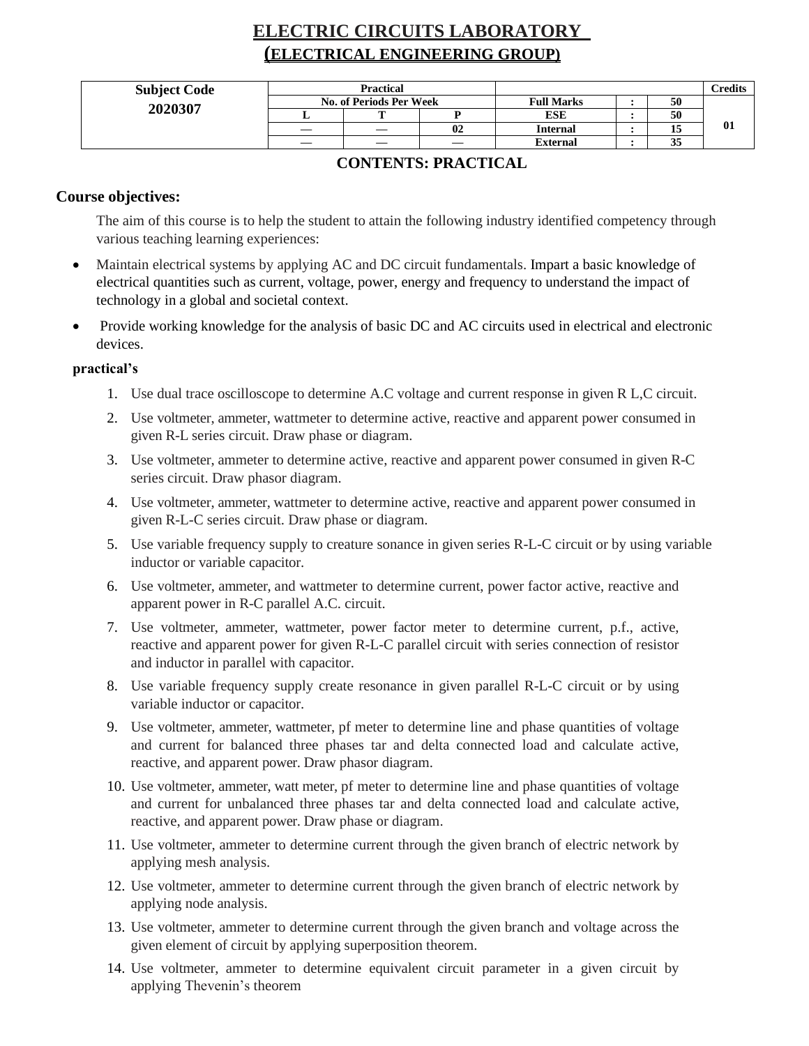## **ELECTRIC CIRCUITS LABORATORY (ELECTRICAL ENGINEERING GROUP)**

| <b>Subject Code</b> | <b>Practical</b>               |  |                          |                   |  |    | <b>Predits</b> |
|---------------------|--------------------------------|--|--------------------------|-------------------|--|----|----------------|
|                     | <b>No. of Periods Per Week</b> |  |                          | <b>Full Marks</b> |  | 50 |                |
| 2020307             |                                |  |                          | <b>ESE</b>        |  | 50 |                |
|                     |                                |  | 02                       | <b>Internal</b>   |  | 13 | 01             |
|                     |                                |  | $\overline{\phantom{a}}$ | <b>External</b>   |  | 33 |                |

### **CONTENTS: PRACTICAL**

### **Course objectives:**

The aim of this course is to help the student to attain the following industry identified competency through various teaching learning experiences:

- Maintain electrical systems by applying AC and DC circuit fundamentals. Impart a basic knowledge of electrical quantities such as current, voltage, power, energy and frequency to understand the impact of technology in a global and societal context.
- Provide working knowledge for the analysis of basic DC and AC circuits used in electrical and electronic devices.

### **practical's**

- 1. Use dual trace oscilloscope to determine A.C voltage and current response in given R L,C circuit.
- 2. Use voltmeter, ammeter, wattmeter to determine active, reactive and apparent power consumed in given R-L series circuit. Draw phase or diagram.
- 3. Use voltmeter, ammeter to determine active, reactive and apparent power consumed in given R-C series circuit. Draw phasor diagram.
- 4. Use voltmeter, ammeter, wattmeter to determine active, reactive and apparent power consumed in given R-L-C series circuit. Draw phase or diagram.
- 5. Use variable frequency supply to creature sonance in given series R-L-C circuit or by using variable inductor or variable capacitor.
- 6. Use voltmeter, ammeter, and wattmeter to determine current, power factor active, reactive and apparent power in R-C parallel A.C. circuit.
- 7. Use voltmeter, ammeter, wattmeter, power factor meter to determine current, p.f., active, reactive and apparent power for given R-L-C parallel circuit with series connection of resistor and inductor in parallel with capacitor.
- 8. Use variable frequency supply create resonance in given parallel R-L-C circuit or by using variable inductor or capacitor.
- 9. Use voltmeter, ammeter, wattmeter, pf meter to determine line and phase quantities of voltage and current for balanced three phases tar and delta connected load and calculate active, reactive, and apparent power. Draw phasor diagram.
- 10. Use voltmeter, ammeter, watt meter, pf meter to determine line and phase quantities of voltage and current for unbalanced three phases tar and delta connected load and calculate active, reactive, and apparent power. Draw phase or diagram.
- 11. Use voltmeter, ammeter to determine current through the given branch of electric network by applying mesh analysis.
- 12. Use voltmeter, ammeter to determine current through the given branch of electric network by applying node analysis.
- 13. Use voltmeter, ammeter to determine current through the given branch and voltage across the given element of circuit by applying superposition theorem.
- 14. Use voltmeter, ammeter to determine equivalent circuit parameter in a given circuit by applying Thevenin's theorem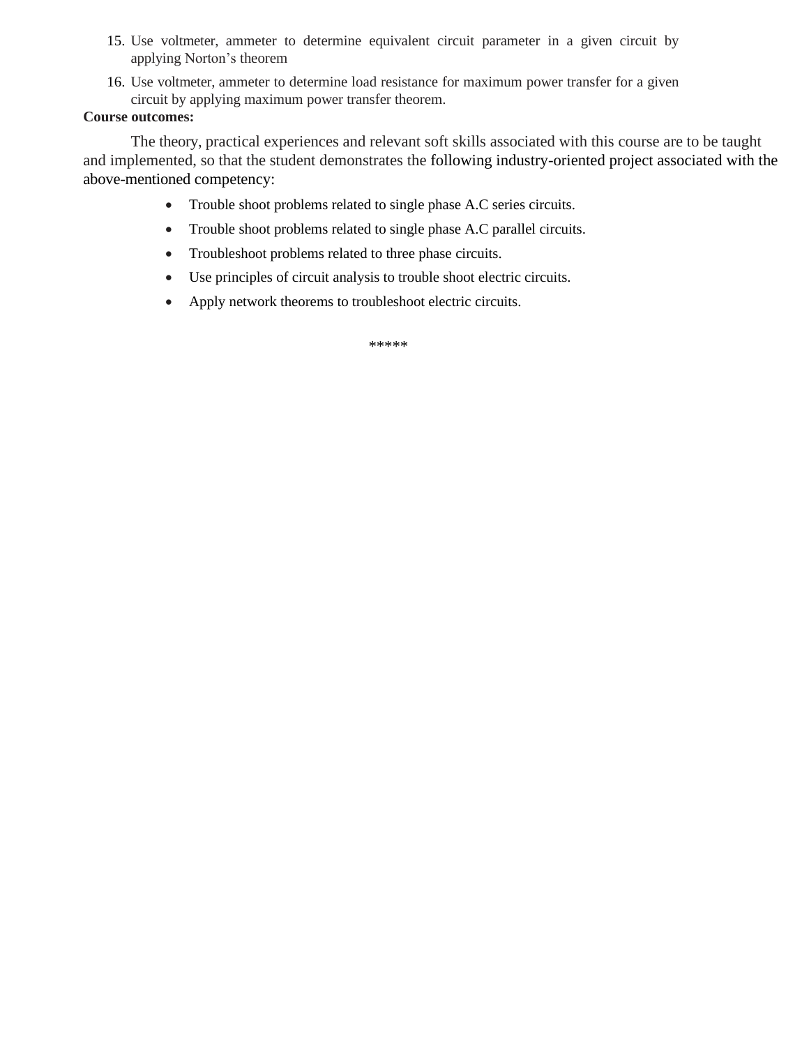- 15. Use voltmeter, ammeter to determine equivalent circuit parameter in a given circuit by applying Norton's theorem
- 16. Use voltmeter, ammeter to determine load resistance for maximum power transfer for a given circuit by applying maximum power transfer theorem.

### **Course outcomes:**

The theory, practical experiences and relevant soft skills associated with this course are to be taught and implemented, so that the student demonstrates the following industry-oriented project associated with the above-mentioned competency:

- Trouble shoot problems related to single phase A.C series circuits.
- Trouble shoot problems related to single phase A.C parallel circuits.
- Troubleshoot problems related to three phase circuits.
- Use principles of circuit analysis to trouble shoot electric circuits.
- Apply network theorems to troubleshoot electric circuits.

\*\*\*\*\*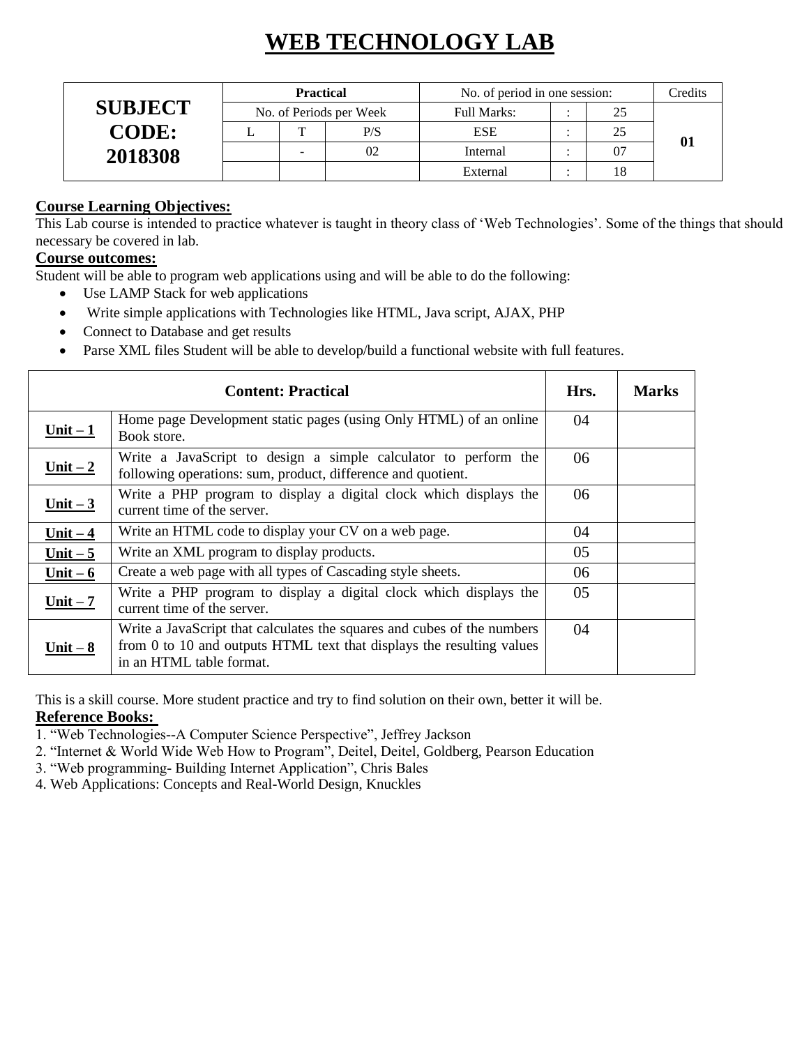# **WEB TECHNOLOGY LAB**

|                | <b>Practical</b> |                          |                         | No. of period in one session: | Credits |  |
|----------------|------------------|--------------------------|-------------------------|-------------------------------|---------|--|
| <b>SUBJECT</b> |                  |                          | No. of Periods per Week | <b>Full Marks:</b>            | 25      |  |
| <b>CODE:</b>   |                  | $\mathbf{T}$             | P/S                     | <b>ESE</b>                    | 25      |  |
| 2018308        |                  | $\overline{\phantom{0}}$ | 02                      | Internal                      | 07      |  |
|                |                  |                          |                         | External                      | 18      |  |

### **Course Learning Objectives:**

This Lab course is intended to practice whatever is taught in theory class of 'Web Technologies'. Some of the things that should necessary be covered in lab.

## **Course outcomes:**

Student will be able to program web applications using and will be able to do the following:

- Use LAMP Stack for web applications
- Write simple applications with Technologies like HTML, Java script, AJAX, PHP
- Connect to Database and get results
- Parse XML files Student will be able to develop/build a functional website with full features.

|            | Hrs.                                                                                                                                                                         | <b>Marks</b> |  |
|------------|------------------------------------------------------------------------------------------------------------------------------------------------------------------------------|--------------|--|
| $Unit - 1$ | Home page Development static pages (using Only HTML) of an online<br>Book store.                                                                                             | 04           |  |
| Unit $-2$  | Write a JavaScript to design a simple calculator to perform the<br>following operations: sum, product, difference and quotient.                                              | 06           |  |
| Unit $-3$  | Write a PHP program to display a digital clock which displays the<br>current time of the server.                                                                             | 06           |  |
| Unit $-4$  | Write an HTML code to display your CV on a web page.                                                                                                                         | 04           |  |
| Unit $-5$  | Write an XML program to display products.                                                                                                                                    | 05           |  |
| Unit $-6$  | Create a web page with all types of Cascading style sheets.                                                                                                                  | 06           |  |
| Unit $-7$  | Write a PHP program to display a digital clock which displays the<br>current time of the server.                                                                             | 05           |  |
| Unit $-8$  | Write a JavaScript that calculates the squares and cubes of the numbers<br>from 0 to 10 and outputs HTML text that displays the resulting values<br>in an HTML table format. | 04           |  |

This is a skill course. More student practice and try to find solution on their own, better it will be. **Reference Books:** 

1. "Web Technologies--A Computer Science Perspective", Jeffrey Jackson

2. "Internet & World Wide Web How to Program", Deitel, Deitel, Goldberg, Pearson Education

3. "Web programming- Building Internet Application", Chris Bales

4. Web Applications: Concepts and Real-World Design, Knuckles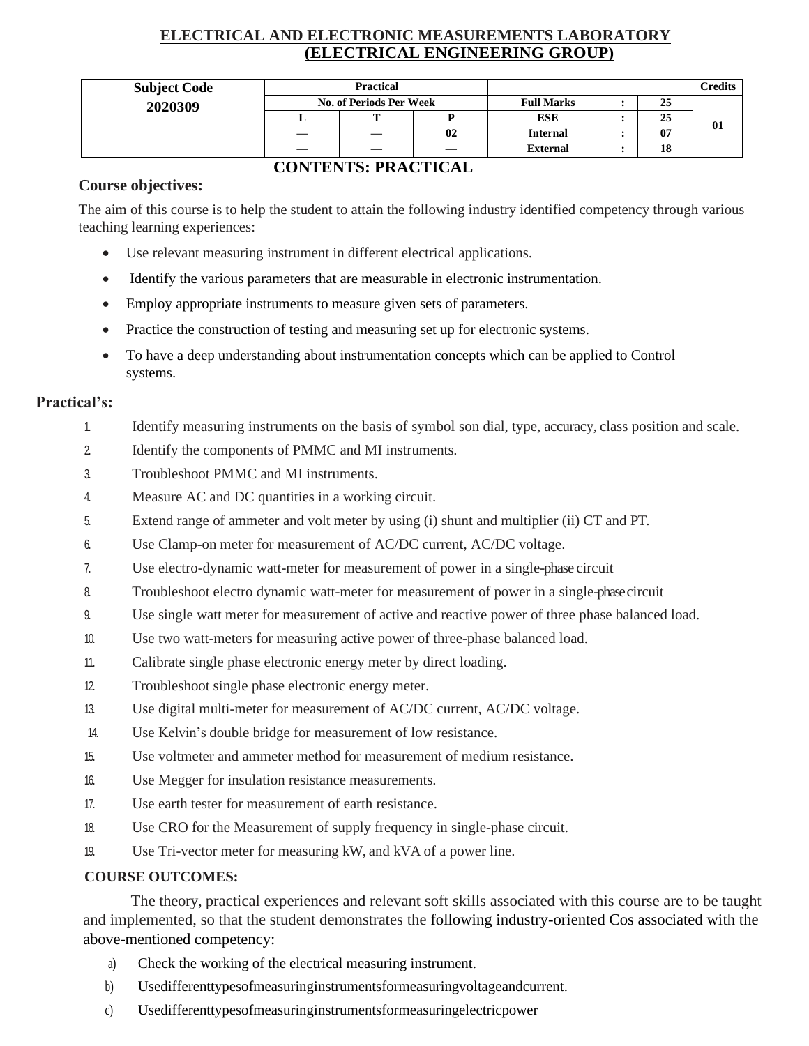## **ELECTRICAL AND ELECTRONIC MEASUREMENTS LABORATORY (ELECTRICAL ENGINEERING GROUP)**

| <b>Subject Code</b> | <b>Practical</b>        |   |    |                   |  |    | Credits |
|---------------------|-------------------------|---|----|-------------------|--|----|---------|
| 2020309             | No. of Periods Per Week |   |    | <b>Full Marks</b> |  | 25 |         |
|                     |                         | - |    | <b>ESE</b>        |  | 25 | 01      |
|                     |                         |   | 02 | <b>Internal</b>   |  | 07 |         |
|                     |                         |   |    | <b>External</b>   |  | 18 |         |

## **CONTENTS: PRACTICAL**

### **Course objectives:**

The aim of this course is to help the student to attain the following industry identified competency through various teaching learning experiences:

- Use relevant measuring instrument in different electrical applications.
- Identify the various parameters that are measurable in electronic instrumentation.
- Employ appropriate instruments to measure given sets of parameters.
- Practice the construction of testing and measuring set up for electronic systems.
- To have a deep understanding about instrumentation concepts which can be applied to Control systems.

### **Practical's:**

- 1. Identify measuring instruments on the basis of symbol son dial, type, accuracy, class position and scale.
- 2. Identify the components of PMMC and MI instruments.
- 3. Troubleshoot PMMC and MI instruments.
- 4. Measure AC and DC quantities in a working circuit.
- 5. Extend range of ammeter and volt meter by using (i) shunt and multiplier (ii) CT and PT.
- 6. Use Clamp-on meter for measurement of AC/DC current, AC/DC voltage.
- 7. Use electro-dynamic watt-meter for measurement of power in a single-phase circuit
- 8. Troubleshoot electro dynamic watt-meter for measurement of power in a single-phasecircuit
- 9. Use single watt meter for measurement of active and reactive power of three phase balanced load.
- 10. Use two watt-meters for measuring active power of three-phase balanced load.
- 11. Calibrate single phase electronic energy meter by direct loading.
- 12. Troubleshoot single phase electronic energy meter.
- 13. Use digital multi-meter for measurement of AC/DC current, AC/DC voltage.
- 14. Use Kelvin's double bridge for measurement of low resistance.
- 15. Use voltmeter and ammeter method for measurement of medium resistance.
- 16. Use Megger for insulation resistance measurements.
- 17. Use earth tester for measurement of earth resistance.
- 18. Use CRO for the Measurement of supply frequency in single-phase circuit.
- 19. Use Tri-vector meter for measuring kW, and kVA of a power line.

### **COURSE OUTCOMES:**

The theory, practical experiences and relevant soft skills associated with this course are to be taught and implemented, so that the student demonstrates the following industry-oriented Cos associated with the above-mentioned competency:

- a) Check the working of the electrical measuring instrument.
- b) Usedifferenttypesofmeasuringinstrumentsformeasuringvoltageandcurrent.
- c) Usedifferenttypesofmeasuringinstrumentsformeasuringelectricpower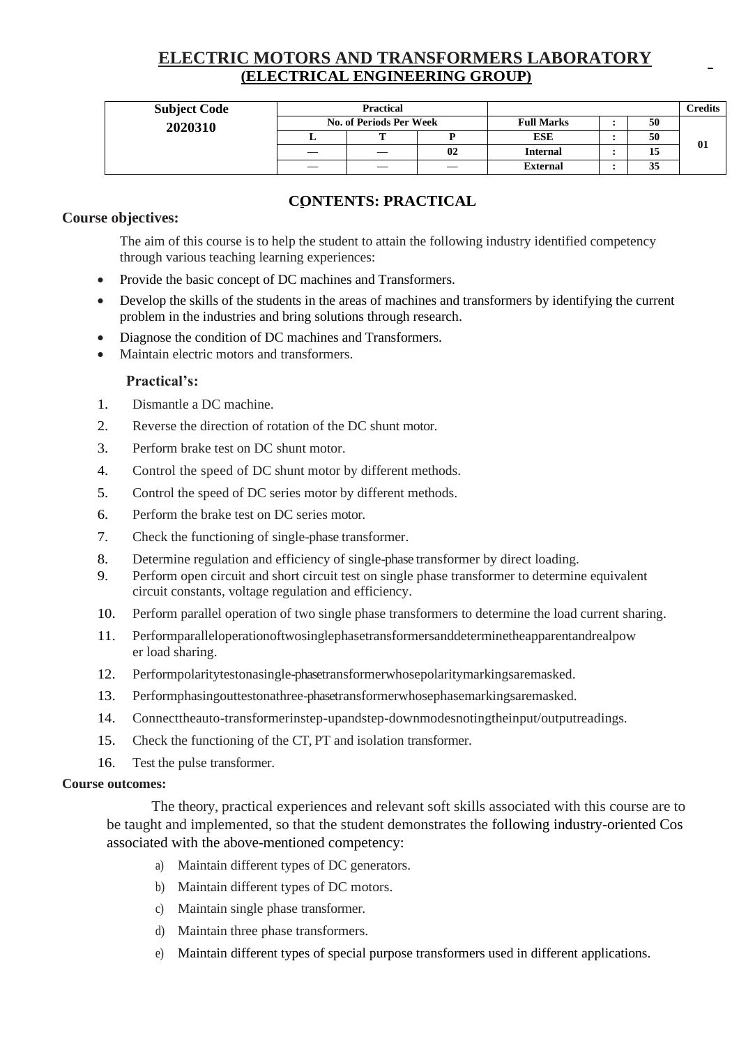## **ELECTRIC MOTORS AND TRANSFORMERS LABORATORY (ELECTRICAL ENGINEERING GROUP)**

| <b>Subject Code</b> | <b>Practical</b>               |    |     |                   |  |    | Credits |
|---------------------|--------------------------------|----|-----|-------------------|--|----|---------|
| 2020310             | <b>No. of Periods Per Week</b> |    |     | <b>Full Marks</b> |  | 50 |         |
|                     |                                |    |     | <b>ESE</b>        |  | 50 | 01      |
|                     |                                | —  | 02  | <b>Internal</b>   |  | 15 |         |
|                     |                                | __ | --- | <b>External</b>   |  | 35 |         |

### **CONTENTS: PRACTICAL**

### **Course objectives:**

The aim of this course is to help the student to attain the following industry identified competency through various teaching learning experiences:

- Provide the basic concept of DC machines and Transformers.
- Develop the skills of the students in the areas of machines and transformers by identifying the current problem in the industries and bring solutions through research.
- Diagnose the condition of DC machines and Transformers.
- Maintain electric motors and transformers.

### **Practical's:**

- 1. Dismantle a DC machine.
- 2. Reverse the direction of rotation of the DC shunt motor.
- 3. Perform brake test on DC shunt motor.
- 4. Control the speed of DC shunt motor by different methods.
- 5. Control the speed of DC series motor by different methods.
- 6. Perform the brake test on DC series motor.
- 7. Check the functioning of single-phase transformer.
- 8. Determine regulation and efficiency of single-phase transformer by direct loading.
- 9. Perform open circuit and short circuit test on single phase transformer to determine equivalent circuit constants, voltage regulation and efficiency.
- 10. Perform parallel operation of two single phase transformers to determine the load current sharing.
- 11. Performparalleloperationoftwosinglephasetransformersanddeterminetheapparentandrealpow er load sharing.
- 12. Performpolaritytestonasingle-phasetransformerwhosepolaritymarkingsaremasked.
- 13. Performphasingouttestonathree-phasetransformerwhosephasemarkingsaremasked.
- 14. Connecttheauto-transformerinstep-upandstep-downmodesnotingtheinput/outputreadings.
- 15. Check the functioning of the CT, PT and isolation transformer.
- 16. Test the pulse transformer.

#### **Course outcomes:**

The theory, practical experiences and relevant soft skills associated with this course are to be taught and implemented, so that the student demonstrates the following industry-oriented Cos associated with the above-mentioned competency:

- a) Maintain different types of DC generators.
- b) Maintain different types of DC motors.
- c) Maintain single phase transformer.
- d) Maintain three phase transformers.
- e) Maintain different types of special purpose transformers used in different applications.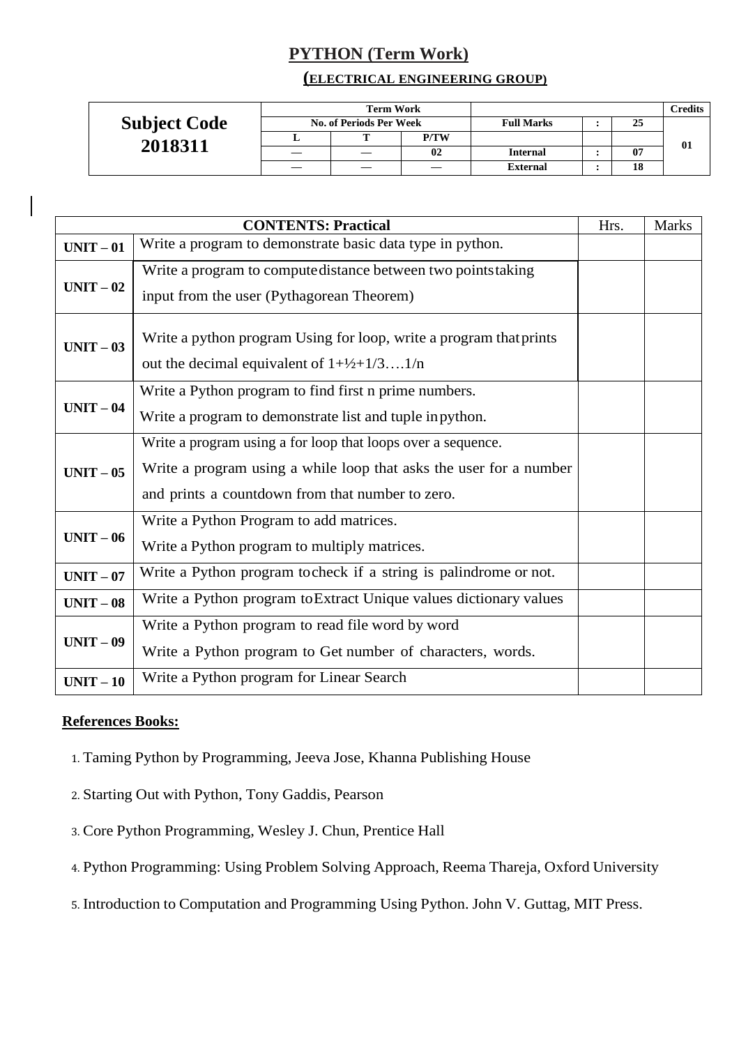## **PYTHON (Term Work)**

### **(ELECTRICAL ENGINEERING GROUP)**

|                     |                         | <b>Term Work</b> |             |                   |  |    | <b>Predits</b> |
|---------------------|-------------------------|------------------|-------------|-------------------|--|----|----------------|
| <b>Subject Code</b> | No. of Periods Per Week |                  |             | <b>Full Marks</b> |  | 25 |                |
| 2018311             |                         |                  | <b>P/TW</b> |                   |  |    | 01             |
|                     |                         |                  | 02          | <b>Internal</b>   |  | 07 |                |
|                     |                         |                  |             | <b>External</b>   |  | 18 |                |

|           | <b>CONTENTS: Practical</b>                                                                                                                                                             | Hrs. | <b>Marks</b> |
|-----------|----------------------------------------------------------------------------------------------------------------------------------------------------------------------------------------|------|--------------|
| $UNIT-01$ | Write a program to demonstrate basic data type in python.                                                                                                                              |      |              |
| $UNIT-02$ | Write a program to compute distance between two points taking<br>input from the user (Pythagorean Theorem)                                                                             |      |              |
| $UNIT-03$ | Write a python program Using for loop, write a program that prints<br>out the decimal equivalent of $1+\frac{1}{2}+\frac{1}{3}1/n$                                                     |      |              |
| $UNIT-04$ | Write a Python program to find first n prime numbers.<br>Write a program to demonstrate list and tuple in python.                                                                      |      |              |
| $UNIT-05$ | Write a program using a for loop that loops over a sequence.<br>Write a program using a while loop that asks the user for a number<br>and prints a countdown from that number to zero. |      |              |
| $UNIT-06$ | Write a Python Program to add matrices.<br>Write a Python program to multiply matrices.                                                                                                |      |              |
| $UNIT-07$ | Write a Python program to check if a string is palindrome or not.                                                                                                                      |      |              |
| $UNIT-08$ | Write a Python program to Extract Unique values dictionary values                                                                                                                      |      |              |
| $UNIT-09$ | Write a Python program to read file word by word<br>Write a Python program to Get number of characters, words.                                                                         |      |              |
| $UNIT-10$ | Write a Python program for Linear Search                                                                                                                                               |      |              |

### **References Books:**

- 1. Taming Python by Programming, Jeeva Jose, Khanna Publishing House
- 2. Starting Out with Python, Tony Gaddis, Pearson
- 3. Core Python Programming, Wesley J. Chun, Prentice Hall
- 4. Python Programming: Using Problem Solving Approach, Reema Thareja, Oxford University
- 5. Introduction to Computation and Programming Using Python. John V. Guttag, MIT Press.